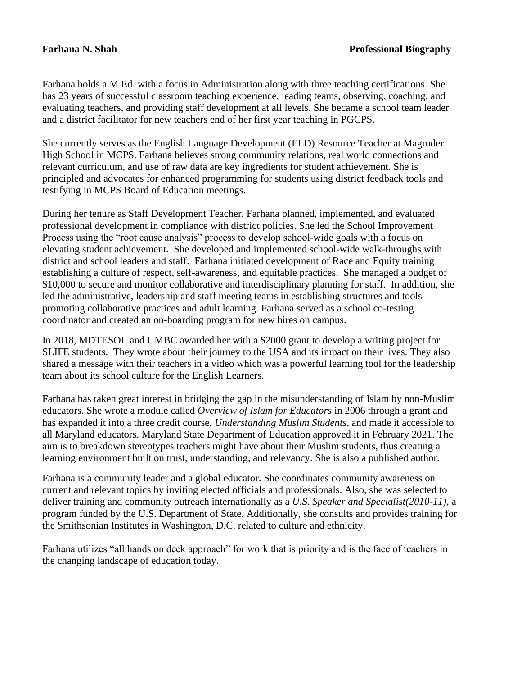Farhana holds a M.Ed. with a focus in Administration along with three teaching certifications. She has 23 years of successful classroom teaching experience, leading teams, observing, coaching, and evaluating teachers, and providing staff development at all levels. She became a school team leader and a district facilitator for new teachers end of her first year teaching in PGCPS.

She currently serves as the English Language Development (ELD) Resource Teacher at Magruder High School in MCPS. Farhana believes strong community relations, real world connections and relevant curriculum, and use of raw data are key ingredients for student achievement. She is principled and advocates for enhanced programming for students using district feedback tools and testifying in MCPS Board of Education meetings.

During her tenure as Staff Development Teacher, Farhana planned, implemented, and evaluated professional development in compliance with district policies. She led the School Improvement Process using the "root cause analysis" process to develop school-wide goals with a focus on elevating student achievement. She developed and implemented school-wide walk-throughs with district and school leaders and staff. Farhana initiated development of Race and Equity training establishing a culture of respect, self-awareness, and equitable practices. She managed a budget of \$10,000 to secure and monitor collaborative and interdisciplinary planning for staff. In addition, she led the administrative, leadership and staff meeting teams in establishing structures and tools promoting collaborative practices and adult learning. Farhana served as a school co-testing coordinator and created an on-boarding program for new hires on campus.

In 2018, MDTESOL and UMBC awarded her with a \$2000 grant to develop a writing project for SLIFE students. They wrote about their journey to the USA and its impact on their lives. They also shared a message with their teachers in a video which was a powerful learning tool for the leadership team about its school culture for the English Learners.

Farhana has taken great interest in bridging the gap in the misunderstanding of Islam by non-Muslim educators. She wrote a module called *Overview of Islam for Educators* in 2006 through a grant and has expanded it into a three credit course, *Understanding Muslim Students*, and made it accessible to all Maryland educators. Maryland State Department of Education approved it in February 2021. The aim is to breakdown stereotypes teachers might have about their Muslim students, thus creating a learning environment built on trust, understanding, and relevancy. She is also a published author.

Farhana is a community leader and a global educator. She coordinates community awareness on current and relevant topics by inviting elected officials and professionals. Also, she was selected to deliver training and community outreach internationally as a *U.S. Speaker and Specialist(2010-11)*, a program funded by the U.S. Department of State. Additionally, she consults and provides training for the Smithsonian Institutes in Washington, D.C. related to culture and ethnicity.

Farhana utilizes "all hands on deck approach" for work that is priority and is the face of teachers in the changing landscape of education today.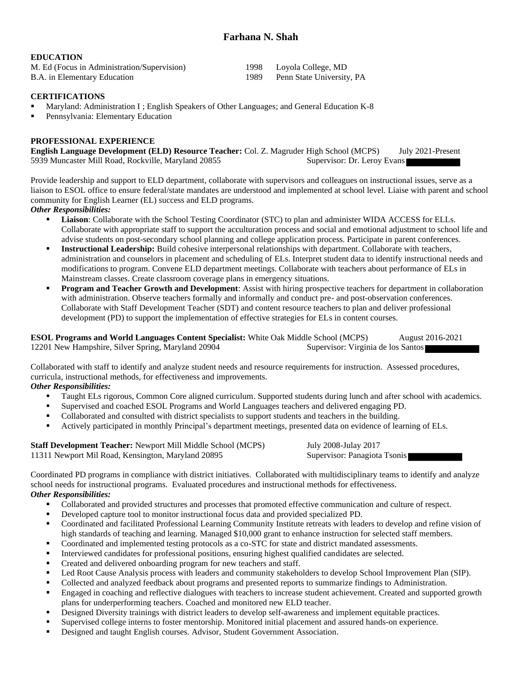# **Farhana N. Shah**

#### **EDUCATION**

| M. Ed (Focus in Administration/Supervision) |      | 1998 Loyola College, MD   |
|---------------------------------------------|------|---------------------------|
| B.A. in Elementary Education                | 1989 | Penn State University, PA |

#### **CERTIFICATIONS**

- Maryland: Administration I ; English Speakers of Other Languages; and General Education K-8
- Pennsylvania: Elementary Education

#### **PROFESSIONAL EXPERIENCE**

**English Language Development (ELD) Resource Teacher:** Col. Z. Magruder High School (MCPS) July 2021-Present 5939 Muncaster Mill Road, Rockville, Maryland 20855 Supervisor: Dr. Leroy Evans

Provide leadership and support to ELD department, collaborate with supervisors and colleagues on instructional issues, serve as a liaison to ESOL office to ensure federal/state mandates are understood and implemented at school level. Liaise with parent and school community for English Learner (EL) success and ELD programs.

#### *Other Responsibilities:*

- Liaison: Collaborate with the School Testing Coordinator (STC) to plan and administer WIDA ACCESS for ELLs. Collaborate with appropriate staff to support the acculturation process and social and emotional adjustment to school life and advise students on post-secondary school planning and college application process. Participate in parent conferences.
- **Instructional Leadership:** Build cohesive interpersonal relationships with department. Collaborate with teachers, administration and counselors in placement and scheduling of ELs. Interpret student data to identify instructional needs and modifications to program. Convene ELD department meetings. Collaborate with teachers about performance of ELs in Mainstream classes. Create classroom coverage plans in emergency situations.
- **Program and Teacher Growth and Development:** Assist with hiring prospective teachers for department in collaboration with administration. Observe teachers formally and informally and conduct pre- and post-observation conferences. Collaborate with Staff Development Teacher (SDT) and content resource teachers to plan and deliver professional development (PD) to support the implementation of effective strategies for ELs in content courses.

**ESOL Programs and World Languages Content Specialist:** White Oak Middle School (MCPS) August 2016-2021 12201 New Hampshire, Silver Spring, Maryland 20904 Supervisor: Virginia de los Santos

Collaborated with staff to identify and analyze student needs and resource requirements for instruction. Assessed procedures, curricula, instructional methods, for effectiveness and improvements.

## *Other Responsibilities:*

- Taught ELs rigorous, Common Core aligned curriculum. Supported students during lunch and after school with academics.
- Supervised and coached ESOL Programs and World Languages teachers and delivered engaging PD.
- Collaborated and consulted with district specialists to support students and teachers in the building.
- Actively participated in monthly Principal's department meetings, presented data on evidence of learning of ELs.

| <b>Staff Development Teacher: Newport Mill Middle School (MCPS)</b> | July 2008-Julay 2017         |
|---------------------------------------------------------------------|------------------------------|
| 11311 Newport Mil Road, Kensington, Maryland 20895                  | Supervisor: Panagiota Tsonis |

Coordinated PD programs in compliance with district initiatives. Collaborated with multidisciplinary teams to identify and analyze school needs for instructional programs. Evaluated procedures and instructional methods for effectiveness. *Other Responsibilities:*

- Collaborated and provided structures and processes that promoted effective communication and culture of respect.
- Developed capture tool to monitor instructional focus data and provided specialized PD.
- Coordinated and facilitated Professional Learning Community Institute retreats with leaders to develop and refine vision of high standards of teaching and learning. Managed \$10,000 grant to enhance instruction for selected staff members.
- Coordinated and implemented testing protocols as a co-STC for state and district mandated assessments.
- Interviewed candidates for professional positions, ensuring highest qualified candidates are selected.
- Created and delivered onboarding program for new teachers and staff.
- Led Root Cause Analysis process with leaders and community stakeholders to develop School Improvement Plan (SIP).
- Collected and analyzed feedback about programs and presented reports to summarize findings to Administration.
- Engaged in coaching and reflective dialogues with teachers to increase student achievement. Created and supported growth plans for underperforming teachers. Coached and monitored new ELD teacher.
- Designed Diversity trainings with district leaders to develop self-awareness and implement equitable practices.
- Supervised college interns to foster mentorship. Monitored initial placement and assured hands-on experience.
- Designed and taught English courses. Advisor, Student Government Association.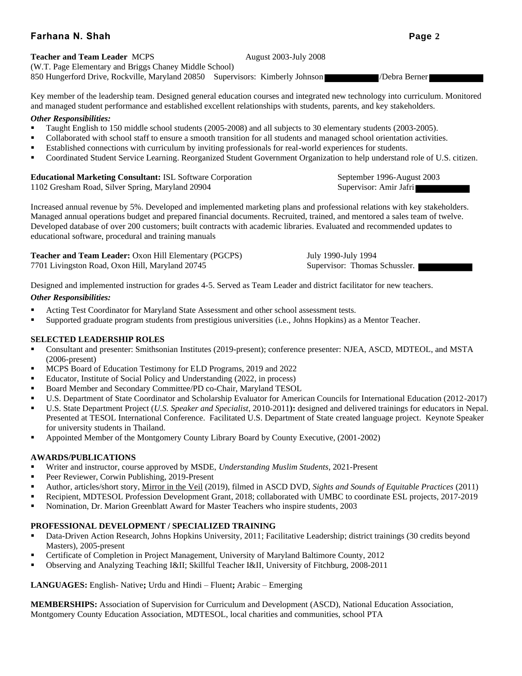# **Farhana N. Shah Page 2**

#### **Teacher and Team Leader** MCPS August 2003-July 2008

(W.T. Page Elementary and Briggs Chaney Middle School) 850 Hungerford Drive, Rockville, Maryland 20850 Supervisors: Kimberly Johnson /Debra Berner

Key member of the leadership team. Designed general education courses and integrated new technology into curriculum. Monitored and managed student performance and established excellent relationships with students, parents, and key stakeholders.

#### *Other Responsibilities:*

- Taught English to 150 middle school students (2005-2008) and all subjects to 30 elementary students (2003-2005).
- Collaborated with school staff to ensure a smooth transition for all students and managed school orientation activities.
- Established connections with curriculum by inviting professionals for real-world experiences for students.
- Coordinated Student Service Learning. Reorganized Student Government Organization to help understand role of U.S. citizen.

## **Educational Marketing Consultant: ISL Software Corporation September 1996-August 2003**

1102 Gresham Road, Silver Spring, Maryland 20904 Supervisor: Amir Jafri

Increased annual revenue by 5%. Developed and implemented marketing plans and professional relations with key stakeholders. Managed annual operations budget and prepared financial documents. Recruited, trained, and mentored a sales team of twelve. Developed database of over 200 customers; built contracts with academic libraries. Evaluated and recommended updates to educational software, procedural and training manuals

| <b>Teacher and Team Leader:</b> Oxon Hill Elementary (PGCPS) | July 1990-July 1994           |
|--------------------------------------------------------------|-------------------------------|
| 7701 Livingston Road, Oxon Hill, Maryland 20745              | Supervisor: Thomas Schussler. |

Designed and implemented instruction for grades 4-5. Served as Team Leader and district facilitator for new teachers.

#### *Other Responsibilities:*

- Acting Test Coordinator for Maryland State Assessment and other school assessment tests.
- Supported graduate program students from prestigious universities (i.e., Johns Hopkins) as a Mentor Teacher.

#### **SELECTED LEADERSHIP ROLES**

- Consultant and presenter: Smithsonian Institutes (2019-present); conference presenter: NJEA, ASCD, MDTEOL, and MSTA (2006-present)
- MCPS Board of Education Testimony for ELD Programs, 2019 and 2022
- Educator, Institute of Social Policy and Understanding (2022, in process)
- Board Member and Secondary Committee/PD co-Chair, Maryland TESOL
- U.S. Department of State Coordinator and Scholarship Evaluator for American Councils for International Education (2012-2017)
- U.S. State Department Project (*U.S. Speaker and Specialist*, 2010-2011**):** designed and delivered trainings for educators in Nepal. Presented at TESOL International Conference. Facilitated U.S. Department of State created language project. Keynote Speaker for university students in Thailand.
- Appointed Member of the Montgomery County Library Board by County Executive, (2001-2002)

## **AWARDS/PUBLICATIONS**

- Writer and instructor, course approved by MSDE, *Understanding Muslim Students*, 2021-Present
- Peer Reviewer, Corwin Publishing, 2019-Present
- Author, articles/short story, Mirror in the Veil (2019), filmed in ASCD DVD, *Sights and Sounds of Equitable Practices* (2011)
- Recipient, MDTESOL Profession Development Grant, 2018; collaborated with UMBC to coordinate ESL projects, 2017-2019
- Nomination, Dr. Marion Greenblatt Award for Master Teachers who inspire students, 2003

## **PROFESSIONAL DEVELOPMENT / SPECIALIZED TRAINING**

- Data-Driven Action Research, Johns Hopkins University, 2011; Facilitative Leadership; district trainings (30 credits beyond Masters), 2005-present
- Certificate of Completion in Project Management, University of Maryland Baltimore County, 2012
- Observing and Analyzing Teaching Iⅈ Skillful Teacher I&II, University of Fitchburg, 2008-2011

**LANGUAGES:** English- Native**;** Urdu and Hindi – Fluent**;** Arabic – Emerging

**MEMBERSHIPS:** Association of Supervision for Curriculum and Development (ASCD), National Education Association, Montgomery County Education Association, MDTESOL, local charities and communities, school PTA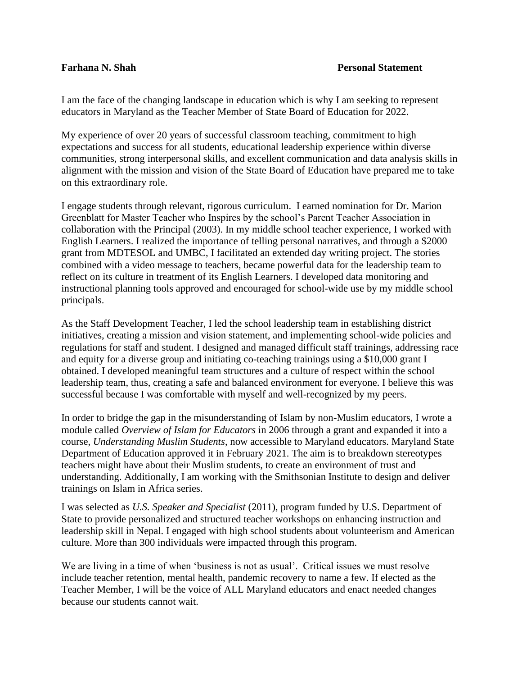## **Farhana N. Shah Personal Statement**

I am the face of the changing landscape in education which is why I am seeking to represent educators in Maryland as the Teacher Member of State Board of Education for 2022.

My experience of over 20 years of successful classroom teaching, commitment to high expectations and success for all students, educational leadership experience within diverse communities, strong interpersonal skills, and excellent communication and data analysis skills in alignment with the mission and vision of the State Board of Education have prepared me to take on this extraordinary role.

I engage students through relevant, rigorous curriculum. I earned nomination for Dr. Marion Greenblatt for Master Teacher who Inspires by the school's Parent Teacher Association in collaboration with the Principal (2003). In my middle school teacher experience, I worked with English Learners. I realized the importance of telling personal narratives, and through a \$2000 grant from MDTESOL and UMBC, I facilitated an extended day writing project. The stories combined with a video message to teachers, became powerful data for the leadership team to reflect on its culture in treatment of its English Learners. I developed data monitoring and instructional planning tools approved and encouraged for school-wide use by my middle school principals.

As the Staff Development Teacher, I led the school leadership team in establishing district initiatives, creating a mission and vision statement, and implementing school-wide policies and regulations for staff and student. I designed and managed difficult staff trainings, addressing race and equity for a diverse group and initiating co-teaching trainings using a \$10,000 grant I obtained. I developed meaningful team structures and a culture of respect within the school leadership team, thus, creating a safe and balanced environment for everyone. I believe this was successful because I was comfortable with myself and well-recognized by my peers.

In order to bridge the gap in the misunderstanding of Islam by non-Muslim educators, I wrote a module called *Overview of Islam for Educators* in 2006 through a grant and expanded it into a course, *Understanding Muslim Students*, now accessible to Maryland educators. Maryland State Department of Education approved it in February 2021. The aim is to breakdown stereotypes teachers might have about their Muslim students, to create an environment of trust and understanding. Additionally, I am working with the Smithsonian Institute to design and deliver trainings on Islam in Africa series.

I was selected as *U.S. Speaker and Specialist* (2011), program funded by U.S. Department of State to provide personalized and structured teacher workshops on enhancing instruction and leadership skill in Nepal. I engaged with high school students about volunteerism and American culture. More than 300 individuals were impacted through this program.

We are living in a time of when 'business is not as usual'. Critical issues we must resolve include teacher retention, mental health, pandemic recovery to name a few. If elected as the Teacher Member, I will be the voice of ALL Maryland educators and enact needed changes because our students cannot wait.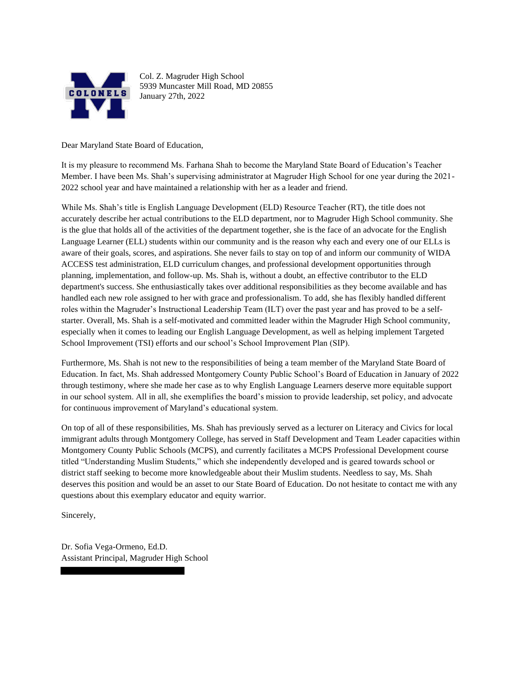

 5939 Muncaster Mill Road, MD 20855 January 27th, 2022 Col. Z. Magruder High School

Dear Maryland State Board of Education,

 It is my pleasure to recommend Ms. Farhana Shah to become the Maryland State Board of Education's Teacher Member. I have been Ms. Shah's supervising administrator at Magruder High School for one year during the 2021- 2022 school year and have maintained a relationship with her as a leader and friend.

 While Ms. Shah's title is English Language Development (ELD) Resource Teacher (RT), the title does not accurately describe her actual contributions to the ELD department, nor to Magruder High School community. She is the glue that holds all of the activities of the department together, she is the face of an advocate for the English Language Learner (ELL) students within our community and is the reason why each and every one of our ELLs is aware of their goals, scores, and aspirations. She never fails to stay on top of and inform our community of WIDA ACCESS test administration, ELD curriculum changes, and professional development opportunities through planning, implementation, and follow-up. Ms. Shah is, without a doubt, an effective contributor to the ELD department's success. She enthusiastically takes over additional responsibilities as they become available and has handled each new role assigned to her with grace and professionalism. To add, she has flexibly handled different roles within the Magruder's Instructional Leadership Team (ILT) over the past year and has proved to be a self- starter. Overall, Ms. Shah is a self-motivated and committed leader within the Magruder High School community, especially when it comes to leading our English Language Development, as well as helping implement Targeted School Improvement (TSI) efforts and our school's School Improvement Plan (SIP).

 Furthermore, Ms. Shah is not new to the responsibilities of being a team member of the Maryland State Board of Education. In fact, Ms. Shah addressed Montgomery County Public School's Board of Education in January of 2022 through testimony, where she made her case as to why English Language Learners deserve more equitable support in our school system. All in all, she exemplifies the board's mission to provide leadership, set policy, and advocate for continuous improvement of Maryland's educational system.

 On top of all of these responsibilities, Ms. Shah has previously served as a lecturer on Literacy and Civics for local immigrant adults through Montgomery College, has served in Staff Development and Team Leader capacities within Montgomery County Public Schools (MCPS), and currently facilitates a MCPS Professional Development course titled "Understanding Muslim Students," which she independently developed and is geared towards school or district staff seeking to become more knowledgeable about their Muslim students. Needless to say, Ms. Shah deserves this position and would be an asset to our State Board of Education. Do not hesitate to contact me with any questions about this exemplary educator and equity warrior.

Sincerely,

 Assistant Principal, Magruder High School Dr. Sofia Vega-Ormeno, Ed.D.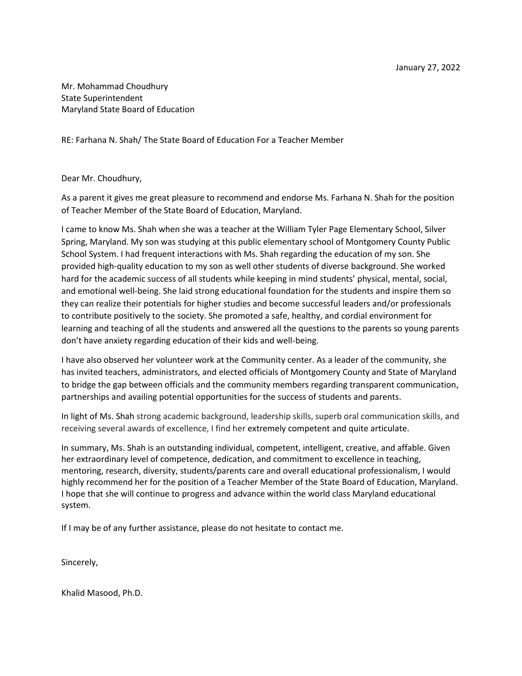Mr. Mohammad Choudhury State Superintendent Maryland State Board of Education

RE: Farhana N. Shah/ The State Board of Education For a Teacher Member

Dear Mr. Choudhury,

As a parent it gives me great pleasure to recommend and endorse Ms. Farhana N. Shah for the position of Teacher Member of the State Board of Education, Maryland.

I came to know Ms. Shah when she was a teacher at the William Tyler Page Elementary School, Silver Spring, Maryland. My son was studying at this public elementary school of Montgomery County Public School System. I had frequent interactions with Ms. Shah regarding the education of my son. She provided high-quality education to my son as well other students of diverse background. She worked hard for the academic success of all students while keeping in mind students' physical, mental, social, and emotional well-being. She laid strong educational foundation for the students and inspire them so they can realize their potentials for higher studies and become successful leaders and/or professionals to contribute positively to the society. She promoted a safe, healthy, and cordial environment for learning and teaching of all the students and answered all the questions to the parents so young parents don't have anxiety regarding education of their kids and well-being.

I have also observed her volunteer work at the Community center. As a leader of the community, she has invited teachers, administrators, and elected officials of Montgomery County and State of Maryland to bridge the gap between officials and the community members regarding transparent communication, partnerships and availing potential opportunities for the success of students and parents.

In light of Ms. Shah strong academic background, leadership skills, superb oral communication skills, and receiving several awards of excellence, I find her extremely competent and quite articulate.

In summary, Ms. Shah is an outstanding individual, competent, intelligent, creative, and affable. Given her extraordinary level of competence, dedication, and commitment to excellence in teaching, mentoring, research, diversity, students/parents care and overall educational professionalism, I would highly recommend her for the position of a Teacher Member of the State Board of Education, Maryland. I hope that she will continue to progress and advance within the world class Maryland educational system.

If I may be of any further assistance, please do not hesitate to contact me.

Sincerely,

Khalid Masood, Ph.D.